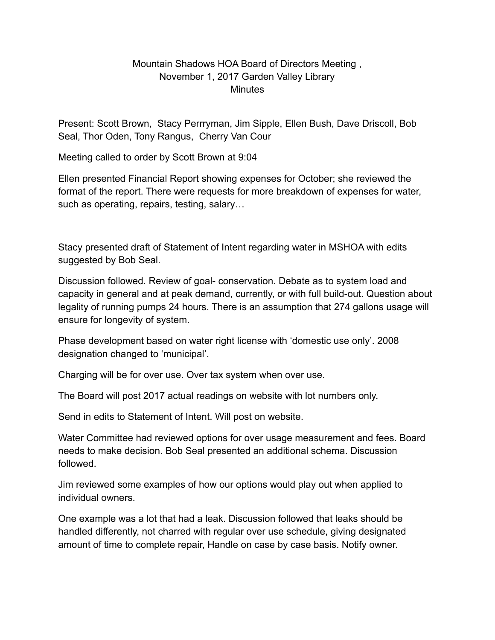## Mountain Shadows HOA Board of Directors Meeting , November 1, 2017 Garden Valley Library **Minutes**

Present: Scott Brown, Stacy Perrryman, Jim Sipple, Ellen Bush, Dave Driscoll, Bob Seal, Thor Oden, Tony Rangus, Cherry Van Cour

Meeting called to order by Scott Brown at 9:04

Ellen presented Financial Report showing expenses for October; she reviewed the format of the report. There were requests for more breakdown of expenses for water, such as operating, repairs, testing, salary…

Stacy presented draft of Statement of Intent regarding water in MSHOA with edits suggested by Bob Seal.

Discussion followed. Review of goal- conservation. Debate as to system load and capacity in general and at peak demand, currently, or with full build-out. Question about legality of running pumps 24 hours. There is an assumption that 274 gallons usage will ensure for longevity of system.

Phase development based on water right license with 'domestic use only'. 2008 designation changed to 'municipal'.

Charging will be for over use. Over tax system when over use.

The Board will post 2017 actual readings on website with lot numbers only.

Send in edits to Statement of Intent. Will post on website.

Water Committee had reviewed options for over usage measurement and fees. Board needs to make decision. Bob Seal presented an additional schema. Discussion followed.

Jim reviewed some examples of how our options would play out when applied to individual owners.

One example was a lot that had a leak. Discussion followed that leaks should be handled differently, not charred with regular over use schedule, giving designated amount of time to complete repair, Handle on case by case basis. Notify owner.